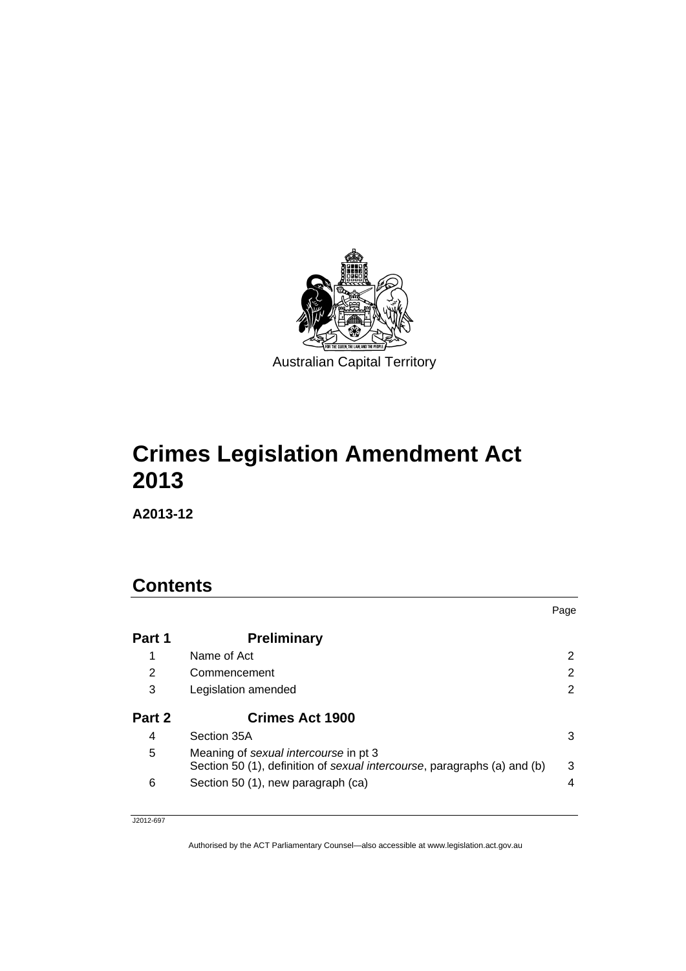

# **Crimes Legislation Amendment Act 2013**

**A2013-12** 

# **Contents**

|        |                                                                                                                   | Page |
|--------|-------------------------------------------------------------------------------------------------------------------|------|
| Part 1 | <b>Preliminary</b>                                                                                                |      |
| 1      | Name of Act                                                                                                       |      |
| 2      | Commencement                                                                                                      | 2    |
| 3      | Legislation amended                                                                                               | 2    |
| Part 2 | <b>Crimes Act 1900</b>                                                                                            |      |
| 4      | Section 35A                                                                                                       | 3    |
| 5      | Meaning of sexual intercourse in pt 3<br>Section 50 (1), definition of sexual intercourse, paragraphs (a) and (b) | 3    |
| 6      | Section 50 (1), new paragraph (ca)                                                                                | 4    |

J2012-697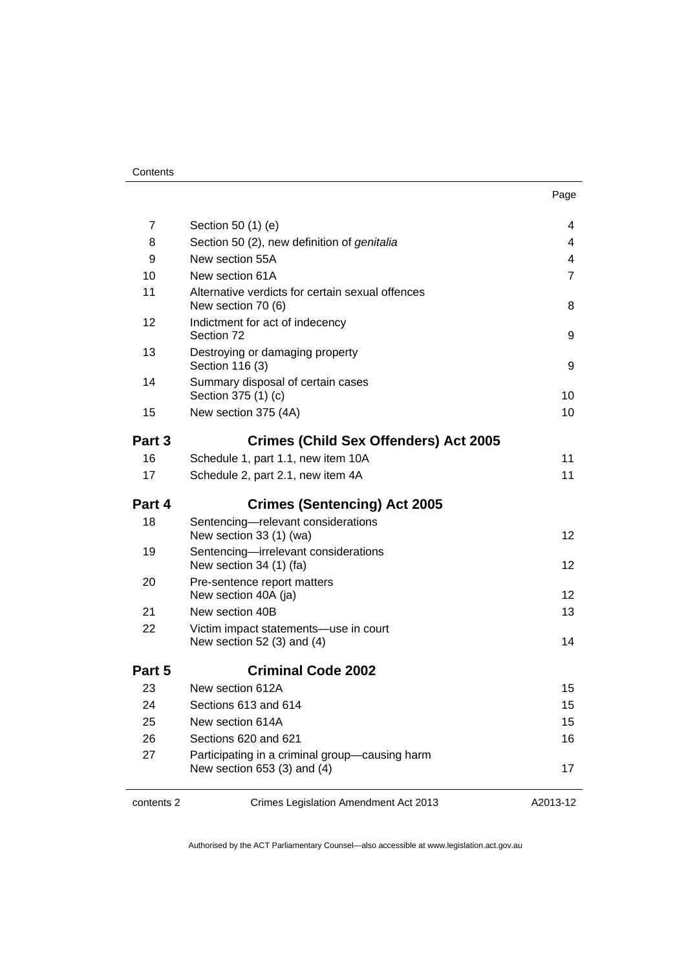| 7          | Section 50 (1) (e)                                                            | 4        |  |
|------------|-------------------------------------------------------------------------------|----------|--|
| 8          | Section 50 (2), new definition of genitalia                                   | 4        |  |
| 9          | New section 55A                                                               | 4        |  |
| 10         | New section 61A                                                               | 7        |  |
| 11         | Alternative verdicts for certain sexual offences<br>New section 70 (6)        | 8        |  |
| 12         | Indictment for act of indecency<br>Section 72                                 | 9        |  |
| 13         | Destroying or damaging property<br>Section 116 (3)                            |          |  |
| 14         | Summary disposal of certain cases<br>Section 375 (1) (c)                      | 10       |  |
| 15         | New section 375 (4A)                                                          | 10       |  |
| Part 3     | <b>Crimes (Child Sex Offenders) Act 2005</b>                                  |          |  |
| 16         | Schedule 1, part 1.1, new item 10A                                            | 11       |  |
| 17         | Schedule 2, part 2.1, new item 4A                                             | 11       |  |
| Part 4     | <b>Crimes (Sentencing) Act 2005</b>                                           |          |  |
| 18         | Sentencing-relevant considerations<br>New section 33 (1) (wa)                 | 12       |  |
| 19         | Sentencing-irrelevant considerations<br>New section 34 (1) (fa)               | 12       |  |
| 20         | Pre-sentence report matters<br>New section 40A (ja)                           | 12       |  |
| 21         | New section 40B                                                               | 13       |  |
| 22         | Victim impact statements-use in court<br>New section 52 $(3)$ and $(4)$       | 14       |  |
| Part 5     | <b>Criminal Code 2002</b>                                                     |          |  |
| 23         | New section 612A                                                              | 15       |  |
| 24         | Sections 613 and 614                                                          | 15       |  |
| 25         | New section 614A                                                              | 15       |  |
| 26         | Sections 620 and 621                                                          | 16       |  |
| 27         | Participating in a criminal group-causing harm<br>New section 653 (3) and (4) | 17       |  |
| contents 2 | Crimes Legislation Amendment Act 2013                                         | A2013-12 |  |

 $\overline{\phantom{a}}$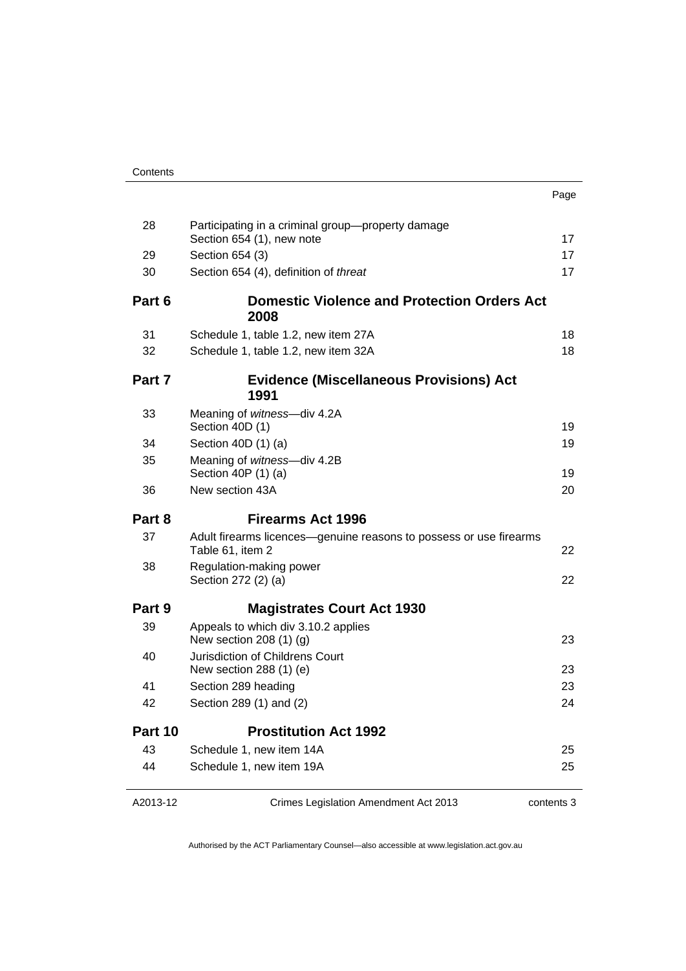|--|

| 28      | Participating in a criminal group-property damage<br>Section 654 (1), new note         | 17 |
|---------|----------------------------------------------------------------------------------------|----|
| 29      | Section 654 (3)                                                                        | 17 |
| 30      | Section 654 (4), definition of threat                                                  | 17 |
| Part 6  | <b>Domestic Violence and Protection Orders Act</b><br>2008                             |    |
| 31      | Schedule 1, table 1.2, new item 27A                                                    | 18 |
| 32      | Schedule 1, table 1.2, new item 32A                                                    | 18 |
| Part 7  | <b>Evidence (Miscellaneous Provisions) Act</b><br>1991                                 |    |
| 33      | Meaning of witness-div 4.2A<br>Section 40D (1)                                         | 19 |
| 34      | Section $40D(1)$ (a)                                                                   | 19 |
| 35      | Meaning of witness-div 4.2B<br>Section 40P (1) (a)                                     | 19 |
| 36      | New section 43A                                                                        | 20 |
|         |                                                                                        |    |
| Part 8  | <b>Firearms Act 1996</b>                                                               |    |
| 37      | Adult firearms licences-genuine reasons to possess or use firearms<br>Table 61, item 2 | 22 |
| 38      | Regulation-making power<br>Section 272 (2) (a)                                         | 22 |
| Part 9  | <b>Magistrates Court Act 1930</b>                                                      |    |
| 39      | Appeals to which div 3.10.2 applies<br>New section 208 (1) (g)                         | 23 |
| 40      | Jurisdiction of Childrens Court                                                        | 23 |
| 41      | New section 288 (1) (e)<br>Section 289 heading                                         | 23 |
| 42      | Section 289 (1) and (2)                                                                | 24 |
| Part 10 | <b>Prostitution Act 1992</b>                                                           |    |
| 43      | Schedule 1, new item 14A                                                               | 25 |
| 44      | Schedule 1, new item 19A                                                               | 25 |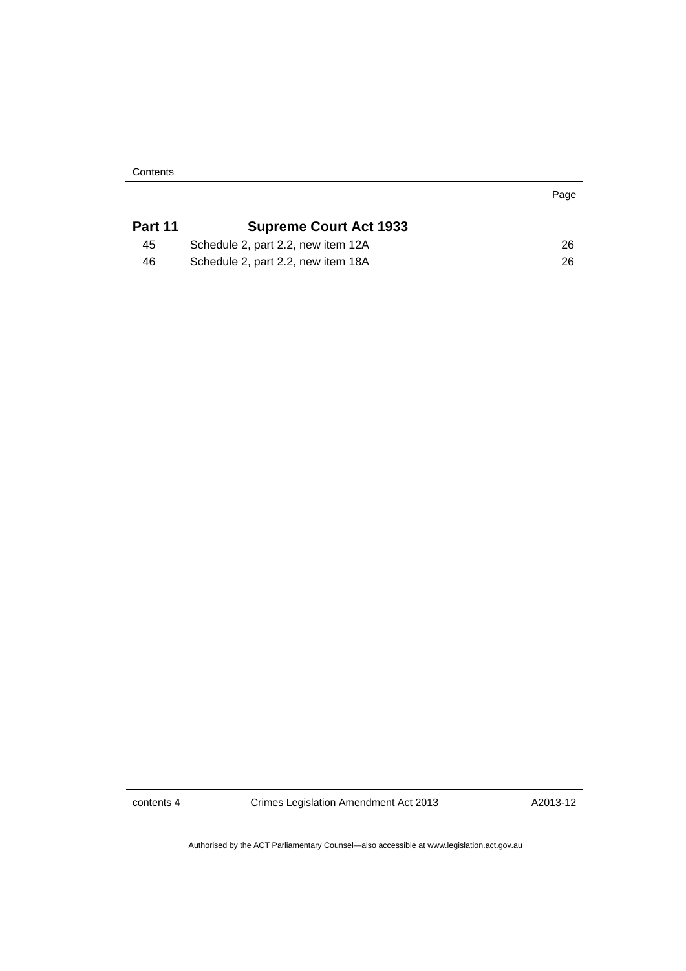**Contents** 

| Part 11 | <b>Supreme Court Act 1933</b>      |    |
|---------|------------------------------------|----|
| 45      | Schedule 2, part 2.2, new item 12A | 26 |
| 46      | Schedule 2, part 2.2, new item 18A | 26 |

contents 4 Crimes Legislation Amendment Act 2013

A2013-12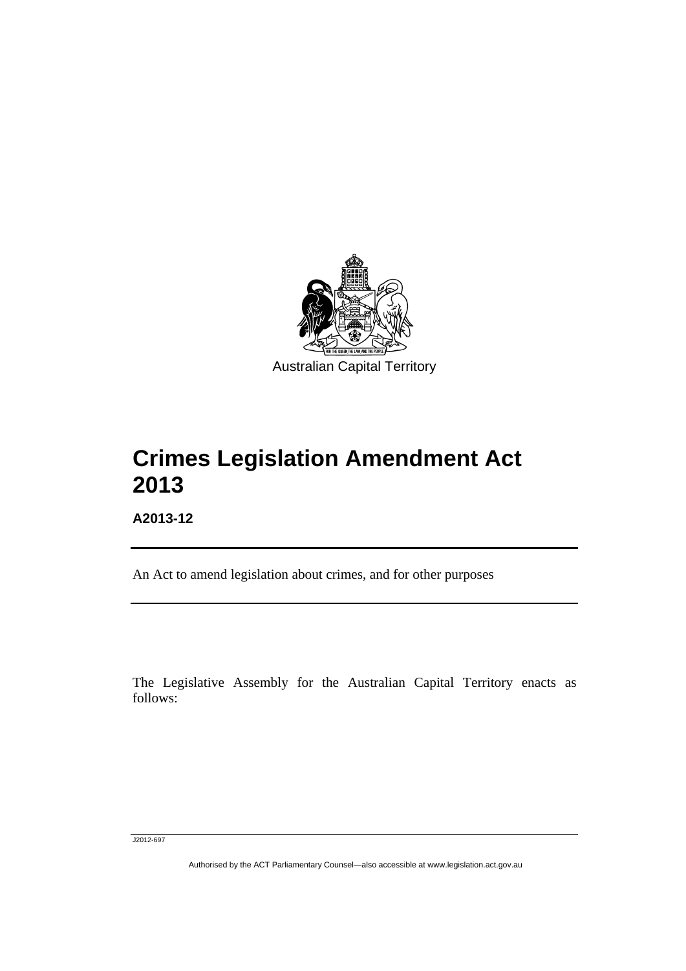

# **Crimes Legislation Amendment Act 2013**

**A2013-12** 

Ī

An Act to amend legislation about crimes, and for other purposes

The Legislative Assembly for the Australian Capital Territory enacts as follows:

J2012-697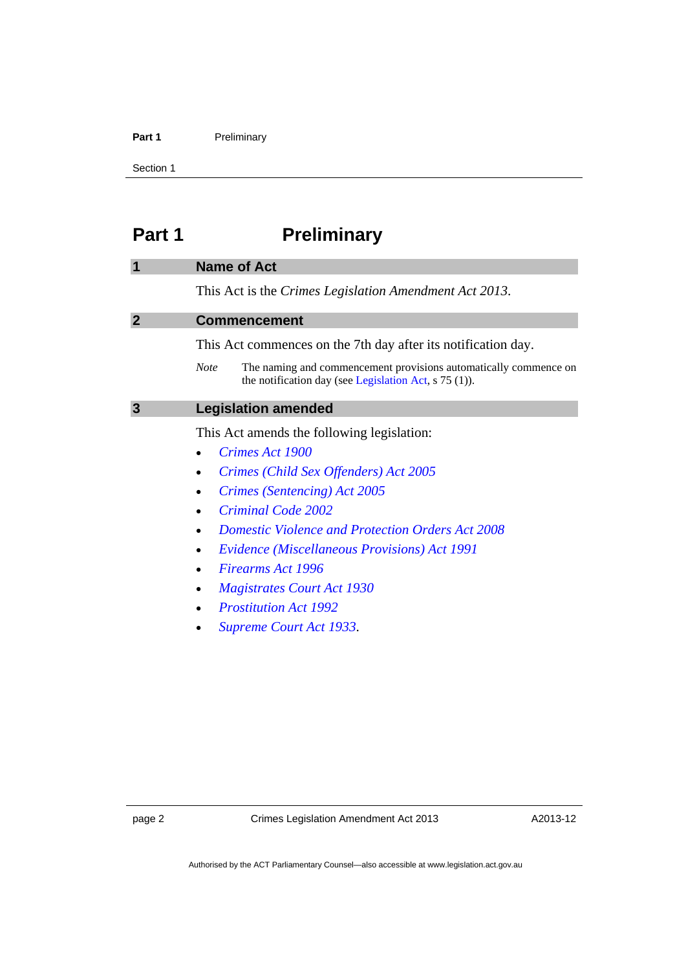#### Part 1 **Preliminary**

Section 1

# <span id="page-5-0"></span>**Part 1** Preliminary

#### <span id="page-5-1"></span>**1 Name of Act**

This Act is the *Crimes Legislation Amendment Act 2013*.

#### <span id="page-5-2"></span>**2 Commencement**

This Act commences on the 7th day after its notification day.

*Note* The naming and commencement provisions automatically commence on the notification day (see [Legislation Act,](http://www.legislation.act.gov.au/a/2001-14) s 75 (1)).

#### <span id="page-5-3"></span>**3 Legislation amended**

This Act amends the following legislation:

- *[Crimes Act 1900](http://www.legislation.act.gov.au/a/1900-40)*
- *[Crimes \(Child Sex Offenders\) Act 2005](http://www.legislation.act.gov.au/a/2005-30)*
- *[Crimes \(Sentencing\) Act 2005](http://www.legislation.act.gov.au/a/2005-58)*
- *[Criminal Code 2002](http://www.legislation.act.gov.au/a/2002-51)*
- *[Domestic Violence and Protection Orders Act 2008](http://www.legislation.act.gov.au/a/2008-46)*
- *[Evidence \(Miscellaneous Provisions\) Act 1991](http://www.legislation.act.gov.au/a/1991-34)*
- *[Firearms Act 1996](http://www.legislation.act.gov.au/a/1996-74)*
- *[Magistrates Court Act 1930](http://www.legislation.act.gov.au/a/1930-21)*
- *[Prostitution Act 1992](http://www.legislation.act.gov.au/a/1992-64)*
- *[Supreme Court Act 1933](http://www.legislation.act.gov.au/a/1933-34)*.

A2013-12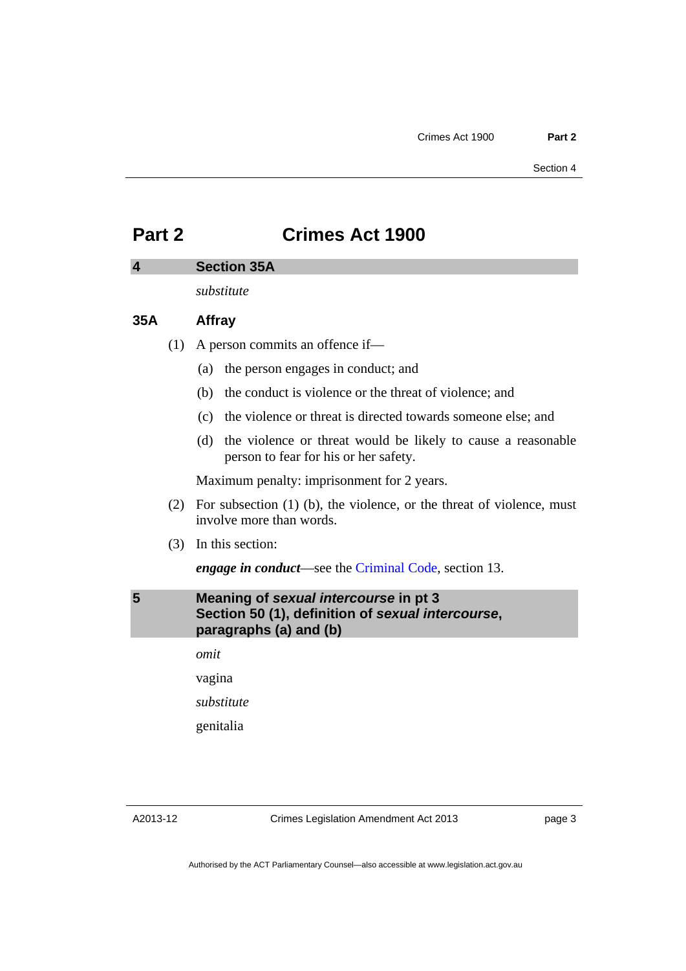# <span id="page-6-0"></span>**Part 2 Crimes Act 1900**

#### <span id="page-6-1"></span>**4 Section 35A**

*substitute* 

#### **35A Affray**

- (1) A person commits an offence if—
	- (a) the person engages in conduct; and
	- (b) the conduct is violence or the threat of violence; and
	- (c) the violence or threat is directed towards someone else; and
	- (d) the violence or threat would be likely to cause a reasonable person to fear for his or her safety.

Maximum penalty: imprisonment for 2 years.

- (2) For subsection (1) (b), the violence, or the threat of violence, must involve more than words.
- (3) In this section:

*engage in conduct*—see the [Criminal Code,](http://www.legislation.act.gov.au/a/2002-51) section 13.

<span id="page-6-2"></span>**5 Meaning of** *sexual intercourse* **in pt 3 Section 50 (1), definition of** *sexual intercourse***, paragraphs (a) and (b)** 

> *omit*  vagina

*substitute* 

genitalia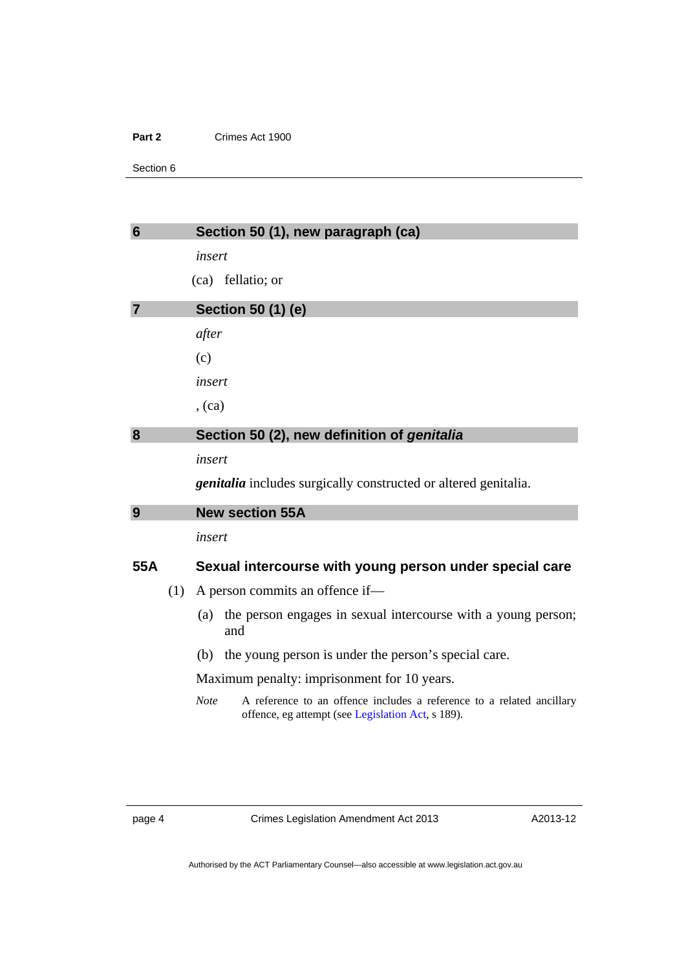#### **Part 2** Crimes Act 1900

Section 6

<span id="page-7-3"></span><span id="page-7-2"></span><span id="page-7-1"></span><span id="page-7-0"></span>

| $\overline{7}$ | insert<br>(ca) fellatio; or<br><b>Section 50 (1) (e)</b>                                                                   |  |  |
|----------------|----------------------------------------------------------------------------------------------------------------------------|--|--|
|                |                                                                                                                            |  |  |
|                |                                                                                                                            |  |  |
|                |                                                                                                                            |  |  |
| after          |                                                                                                                            |  |  |
| (c)            |                                                                                                                            |  |  |
|                | insert                                                                                                                     |  |  |
| , (ca)         |                                                                                                                            |  |  |
| 8              | Section 50 (2), new definition of genitalia                                                                                |  |  |
|                | insert                                                                                                                     |  |  |
|                | <i>genitalia</i> includes surgically constructed or altered genitalia.                                                     |  |  |
| 9              | <b>New section 55A</b>                                                                                                     |  |  |
|                | insert                                                                                                                     |  |  |
| 55A            | Sexual intercourse with young person under special care                                                                    |  |  |
| (1)            | A person commits an offence if-                                                                                            |  |  |
| (a)            | the person engages in sexual intercourse with a young person;<br>and                                                       |  |  |
| (b)            | the young person is under the person's special care.                                                                       |  |  |
|                | Maximum penalty: imprisonment for 10 years.                                                                                |  |  |
| <b>Note</b>    | A reference to an offence includes a reference to a related ancillary<br>offence, eg attempt (see Legislation Act, s 189). |  |  |
|                |                                                                                                                            |  |  |
|                |                                                                                                                            |  |  |
|                |                                                                                                                            |  |  |

page 4 Crimes Legislation Amendment Act 2013

A2013-12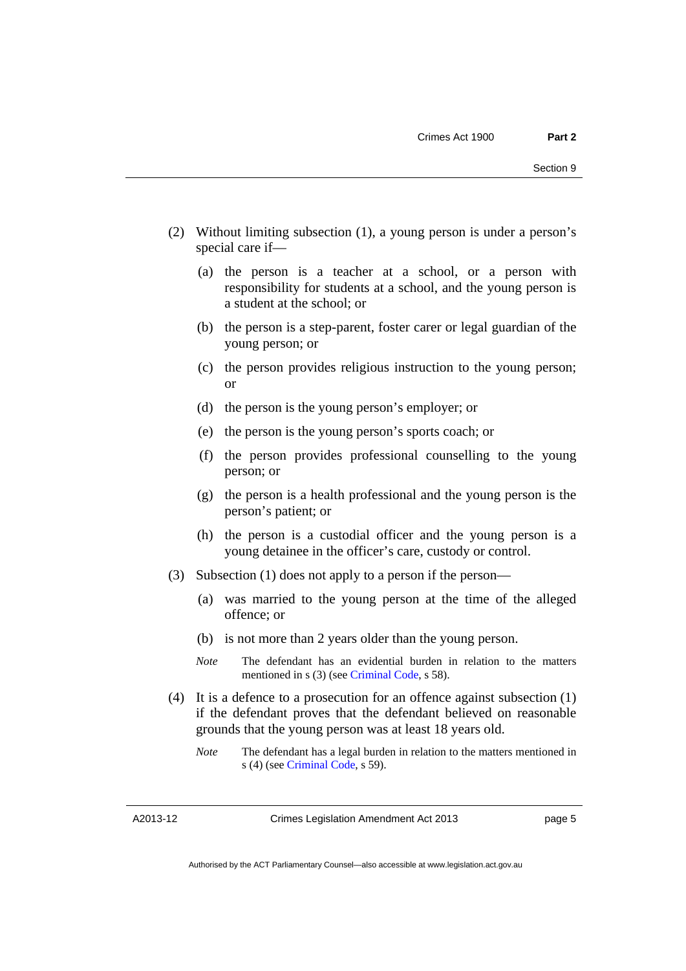- (2) Without limiting subsection (1), a young person is under a person's special care if—
	- (a) the person is a teacher at a school, or a person with responsibility for students at a school, and the young person is a student at the school; or
	- (b) the person is a step-parent, foster carer or legal guardian of the young person; or
	- (c) the person provides religious instruction to the young person; or
	- (d) the person is the young person's employer; or
	- (e) the person is the young person's sports coach; or
	- (f) the person provides professional counselling to the young person; or
	- (g) the person is a health professional and the young person is the person's patient; or
	- (h) the person is a custodial officer and the young person is a young detainee in the officer's care, custody or control.
- (3) Subsection (1) does not apply to a person if the person—
	- (a) was married to the young person at the time of the alleged offence; or
	- (b) is not more than 2 years older than the young person.
	- *Note* The defendant has an evidential burden in relation to the matters mentioned in s (3) (see [Criminal Code](http://www.legislation.act.gov.au/a/2002-51), s 58).
- (4) It is a defence to a prosecution for an offence against subsection (1) if the defendant proves that the defendant believed on reasonable grounds that the young person was at least 18 years old.
	- *Note* The defendant has a legal burden in relation to the matters mentioned in s (4) (see [Criminal Code](http://www.legislation.act.gov.au/a/2002-51), s 59).

A2013-12

page 5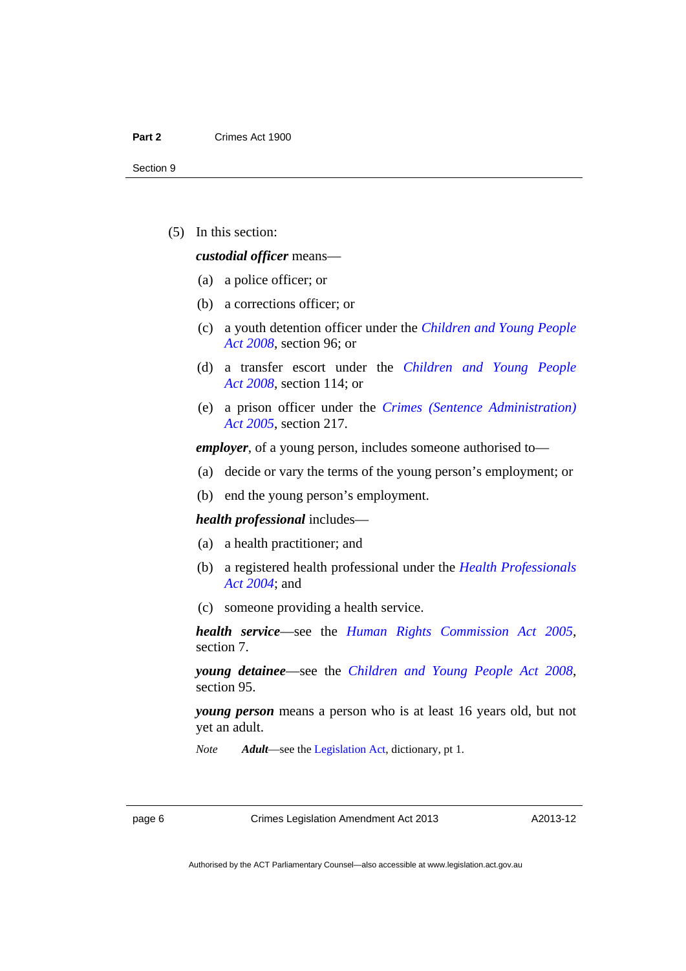(5) In this section:

#### *custodial officer* means—

- (a) a police officer; or
- (b) a corrections officer; or
- (c) a youth detention officer under the *[Children and Young People](http://www.legislation.act.gov.au/a/2008-19)  [Act 2008](http://www.legislation.act.gov.au/a/2008-19)*, section 96; or
- (d) a transfer escort under the *[Children and Young People](http://www.legislation.act.gov.au/a/2008-19)  [Act 2008](http://www.legislation.act.gov.au/a/2008-19)*, section 114; or
- (e) a prison officer under the *[Crimes \(Sentence Administration\)](http://www.legislation.act.gov.au/a/2005-59)  [Act 2005](http://www.legislation.act.gov.au/a/2005-59)*, section 217.

*employer*, of a young person, includes someone authorised to—

- (a) decide or vary the terms of the young person's employment; or
- (b) end the young person's employment.

#### *health professional* includes—

- (a) a health practitioner; and
- (b) a registered health professional under the *[Health Professionals](http://www.legislation.act.gov.au/a/2004-38)  [Act 2004](http://www.legislation.act.gov.au/a/2004-38)*; and
- (c) someone providing a health service.

*health service*—see the *[Human Rights Commission Act 2005](http://www.legislation.act.gov.au/a/2005-40)*, section 7.

*young detainee*—see the *[Children and Young People Act 2008](http://www.legislation.act.gov.au/a/2008-19)*, section 95.

*young person* means a person who is at least 16 years old, but not yet an adult.

*Note Adult*—see the [Legislation Act,](http://www.legislation.act.gov.au/a/2001-14) dictionary, pt 1.

page 6 Crimes Legislation Amendment Act 2013

A2013-12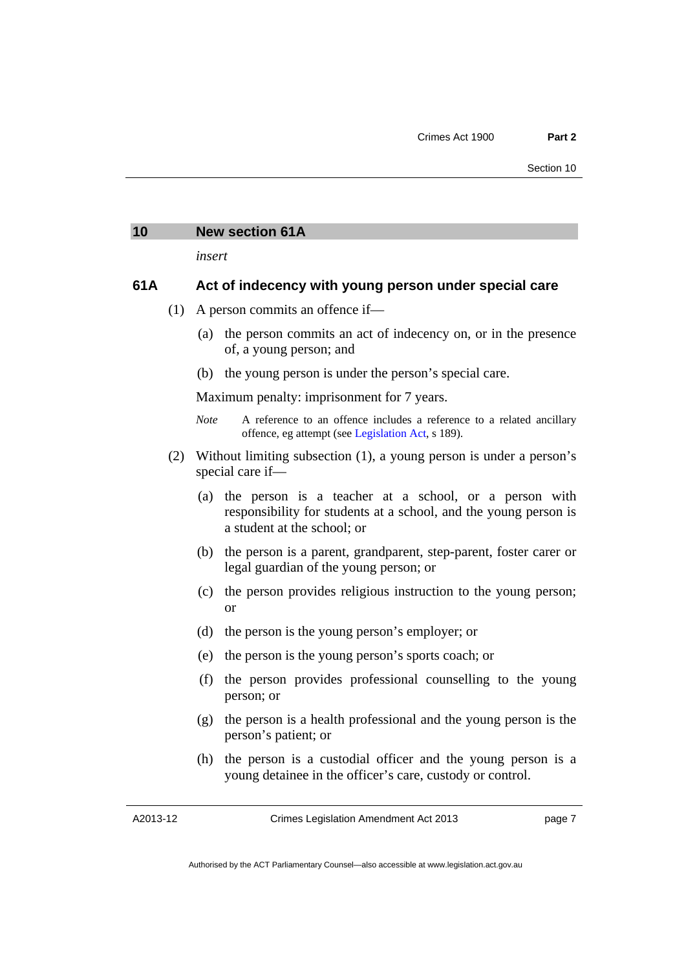### <span id="page-10-0"></span>**10 New section 61A**

*insert* 

#### **61A Act of indecency with young person under special care**

- (1) A person commits an offence if—
	- (a) the person commits an act of indecency on, or in the presence of, a young person; and
	- (b) the young person is under the person's special care.

Maximum penalty: imprisonment for 7 years.

- *Note* A reference to an offence includes a reference to a related ancillary offence, eg attempt (see [Legislation Act](http://www.legislation.act.gov.au/a/2001-14), s 189).
- (2) Without limiting subsection (1), a young person is under a person's special care if—
	- (a) the person is a teacher at a school, or a person with responsibility for students at a school, and the young person is a student at the school; or
	- (b) the person is a parent, grandparent, step-parent, foster carer or legal guardian of the young person; or
	- (c) the person provides religious instruction to the young person; or
	- (d) the person is the young person's employer; or
	- (e) the person is the young person's sports coach; or
	- (f) the person provides professional counselling to the young person; or
	- (g) the person is a health professional and the young person is the person's patient; or
	- (h) the person is a custodial officer and the young person is a young detainee in the officer's care, custody or control.

A2013-12

Crimes Legislation Amendment Act 2013

page 7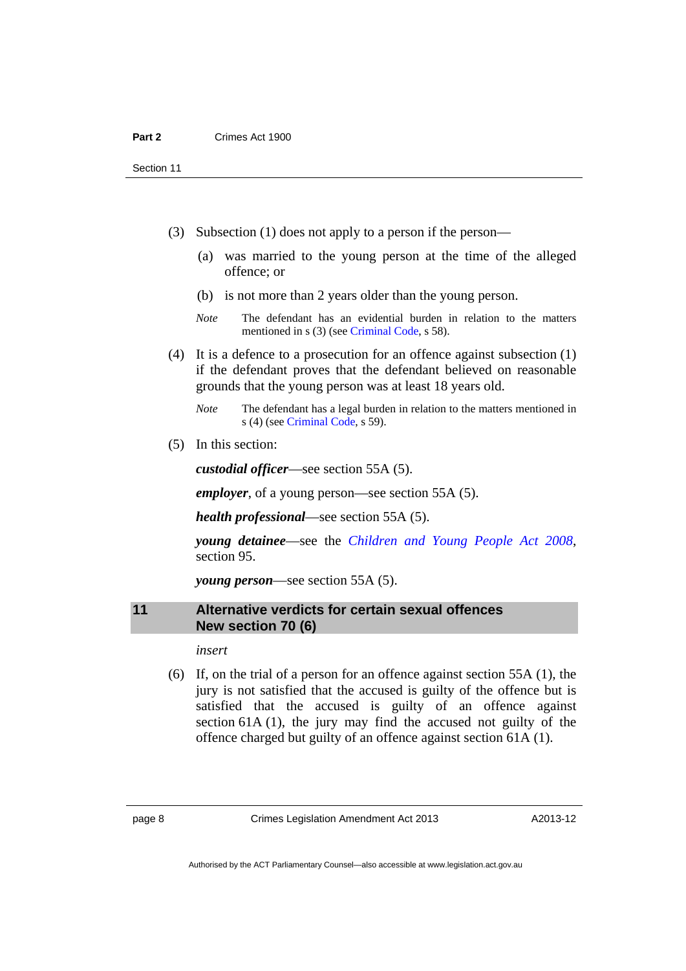Section 11

- (3) Subsection (1) does not apply to a person if the person—
	- (a) was married to the young person at the time of the alleged offence; or
	- (b) is not more than 2 years older than the young person.
	- *Note* The defendant has an evidential burden in relation to the matters mentioned in s (3) (see [Criminal Code](http://www.legislation.act.gov.au/a/2002-51), s 58).
- (4) It is a defence to a prosecution for an offence against subsection (1) if the defendant proves that the defendant believed on reasonable grounds that the young person was at least 18 years old.
	- *Note* The defendant has a legal burden in relation to the matters mentioned in s (4) (see [Criminal Code](http://www.legislation.act.gov.au/a/2002-51), s 59).
- (5) In this section:

*custodial officer*—see section 55A (5).

*employer*, of a young person—see section 55A (5).

*health professional*—see section 55A (5).

*young detainee*—see the *[Children and Young People Act 2008](http://www.legislation.act.gov.au/a/2008-19)*, section 95.

*young person*—see section 55A (5).

#### <span id="page-11-0"></span>**11 Alternative verdicts for certain sexual offences New section 70 (6)**

*insert* 

 (6) If, on the trial of a person for an offence against section 55A (1), the jury is not satisfied that the accused is guilty of the offence but is satisfied that the accused is guilty of an offence against section 61A (1), the jury may find the accused not guilty of the offence charged but guilty of an offence against section 61A (1).

page 8 Crimes Legislation Amendment Act 2013

A2013-12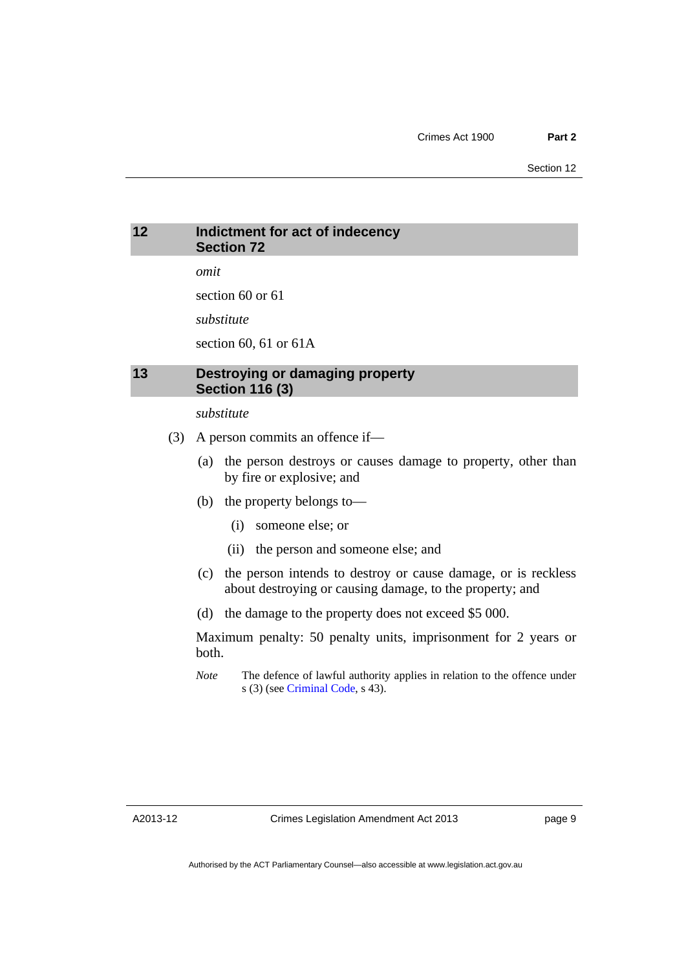### <span id="page-12-0"></span>**12 Indictment for act of indecency Section 72**

*omit* 

section 60 or 61

*substitute* 

section 60, 61 or 61A

### <span id="page-12-1"></span>**13 Destroying or damaging property Section 116 (3)**

#### *substitute*

- (3) A person commits an offence if—
	- (a) the person destroys or causes damage to property, other than by fire or explosive; and
	- (b) the property belongs to—
		- (i) someone else; or
		- (ii) the person and someone else; and
	- (c) the person intends to destroy or cause damage, or is reckless about destroying or causing damage, to the property; and
	- (d) the damage to the property does not exceed \$5 000.

Maximum penalty: 50 penalty units, imprisonment for 2 years or both.

*Note* The defence of lawful authority applies in relation to the offence under s (3) (see [Criminal Code](http://www.legislation.act.gov.au/a/2002-51), s 43).

A2013-12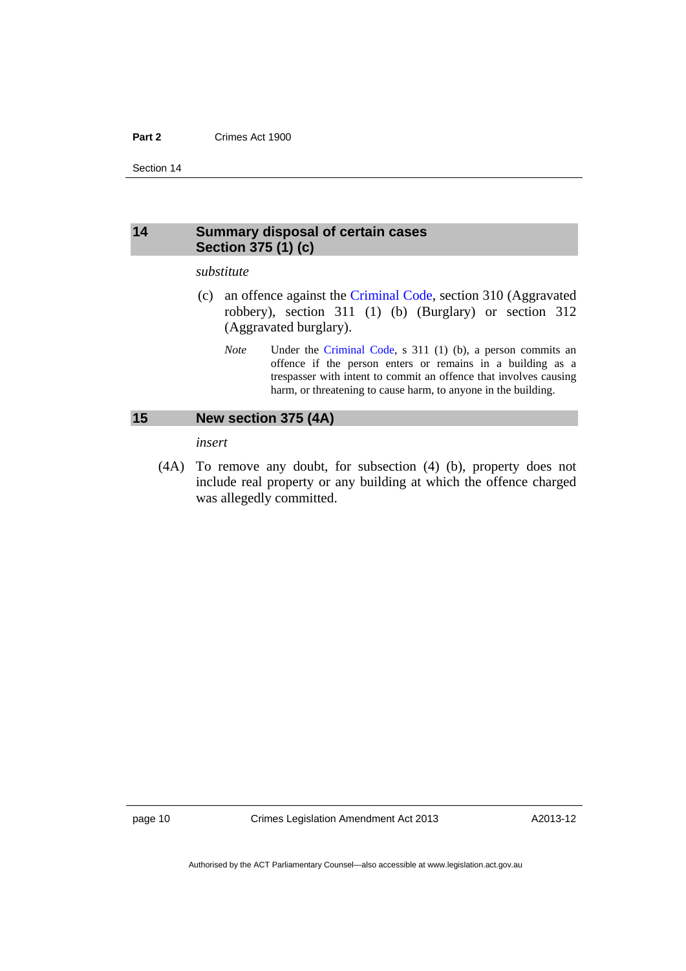#### **Part 2** Crimes Act 1900

Section 14

### <span id="page-13-0"></span>**14 Summary disposal of certain cases Section 375 (1) (c)**

#### *substitute*

- (c) an offence against the [Criminal Code,](http://www.legislation.act.gov.au/a/2002-51) section 310 (Aggravated robbery), section 311 (1) (b) (Burglary) or section 312 (Aggravated burglary).
	- *Note* Under the [Criminal Code](http://www.legislation.act.gov.au/a/2002-51), s 311 (1) (b), a person commits an offence if the person enters or remains in a building as a trespasser with intent to commit an offence that involves causing harm, or threatening to cause harm, to anyone in the building.

#### <span id="page-13-1"></span>**15 New section 375 (4A)**

*insert* 

 (4A) To remove any doubt, for subsection (4) (b), property does not include real property or any building at which the offence charged was allegedly committed.

page 10 Crimes Legislation Amendment Act 2013

A2013-12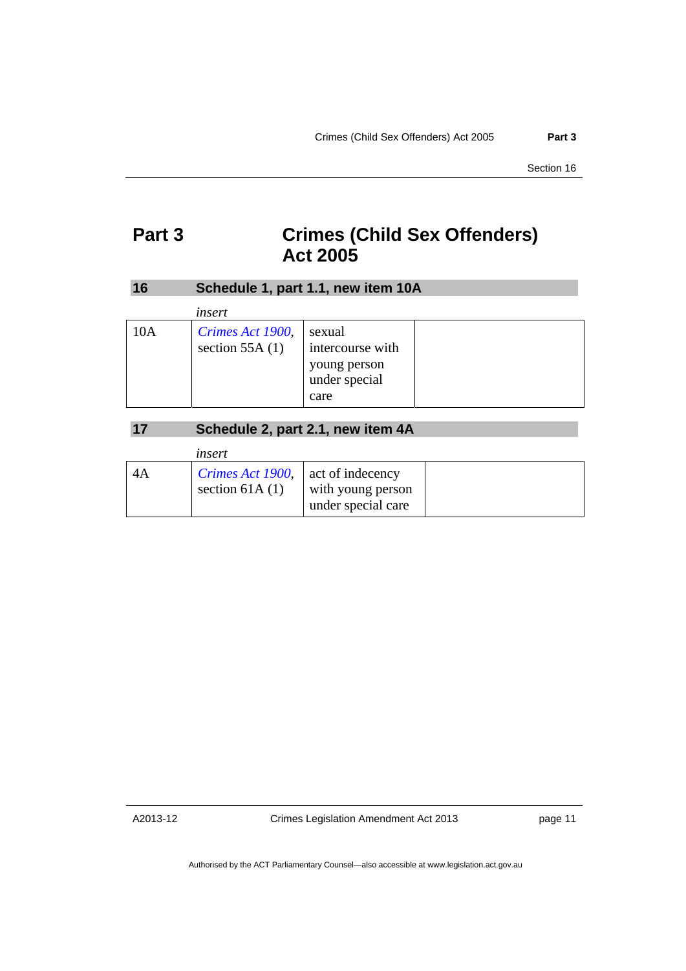# <span id="page-14-0"></span>**Part 3 Crimes (Child Sex Offenders) Act 2005**

<span id="page-14-1"></span>

| <b>16</b> | Schedule 1, part 1.1, new item 10A   |                                                                     |  |
|-----------|--------------------------------------|---------------------------------------------------------------------|--|
|           | insert                               |                                                                     |  |
| 10A       | Crimes Act 1900,<br>section $55A(1)$ | sexual<br>intercourse with<br>young person<br>under special<br>care |  |

## **17 Schedule 2, part 2.1, new item 4A**

<span id="page-14-2"></span>

|    | insert                                                         |                                         |  |
|----|----------------------------------------------------------------|-----------------------------------------|--|
| 4A | <i>Crimes Act 1900</i> , act of indecency<br>section 61A $(1)$ | with young person<br>under special care |  |

A2013-12

Crimes Legislation Amendment Act 2013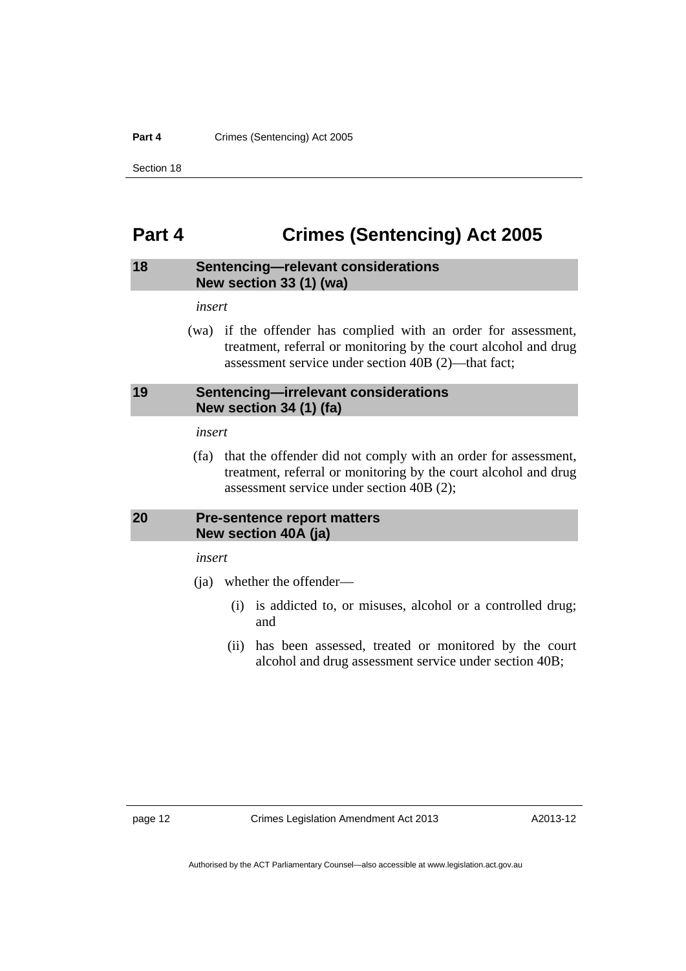#### Part 4 **Crimes (Sentencing)** Act 2005

Section 18

# <span id="page-15-0"></span>**Part 4 Crimes (Sentencing) Act 2005**

#### <span id="page-15-1"></span>**18 Sentencing—relevant considerations New section 33 (1) (wa)**

*insert* 

 (wa) if the offender has complied with an order for assessment, treatment, referral or monitoring by the court alcohol and drug assessment service under section 40B (2)—that fact;

### <span id="page-15-2"></span>**19 Sentencing—irrelevant considerations New section 34 (1) (fa)**

#### *insert*

 (fa) that the offender did not comply with an order for assessment, treatment, referral or monitoring by the court alcohol and drug assessment service under section 40B (2);

### <span id="page-15-3"></span>**20 Pre-sentence report matters New section 40A (ja)**

*insert* 

- (ja) whether the offender—
	- (i) is addicted to, or misuses, alcohol or a controlled drug; and
	- (ii) has been assessed, treated or monitored by the court alcohol and drug assessment service under section 40B;

page 12 Crimes Legislation Amendment Act 2013

A2013-12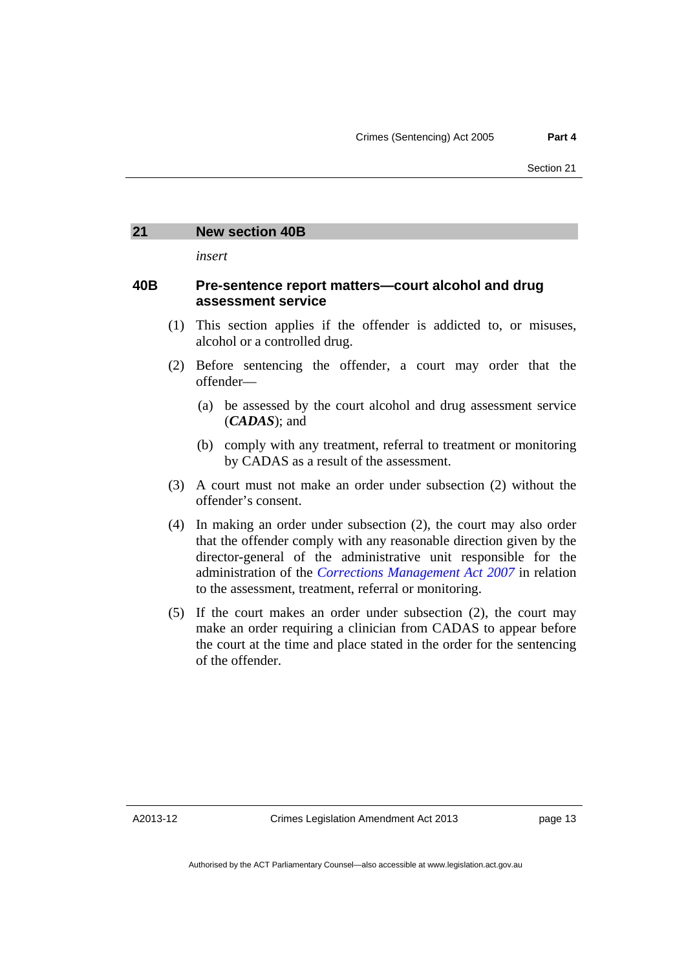### <span id="page-16-0"></span>**21 New section 40B**

*insert* 

#### **40B Pre-sentence report matters—court alcohol and drug assessment service**

- (1) This section applies if the offender is addicted to, or misuses, alcohol or a controlled drug.
- (2) Before sentencing the offender, a court may order that the offender—
	- (a) be assessed by the court alcohol and drug assessment service (*CADAS*); and
	- (b) comply with any treatment, referral to treatment or monitoring by CADAS as a result of the assessment.
- (3) A court must not make an order under subsection (2) without the offender's consent.
- (4) In making an order under subsection (2), the court may also order that the offender comply with any reasonable direction given by the director-general of the administrative unit responsible for the administration of the *[Corrections Management Act 2007](http://www.legislation.act.gov.au/a/2007-15)* in relation to the assessment, treatment, referral or monitoring.
- (5) If the court makes an order under subsection (2), the court may make an order requiring a clinician from CADAS to appear before the court at the time and place stated in the order for the sentencing of the offender.

A2013-12

Crimes Legislation Amendment Act 2013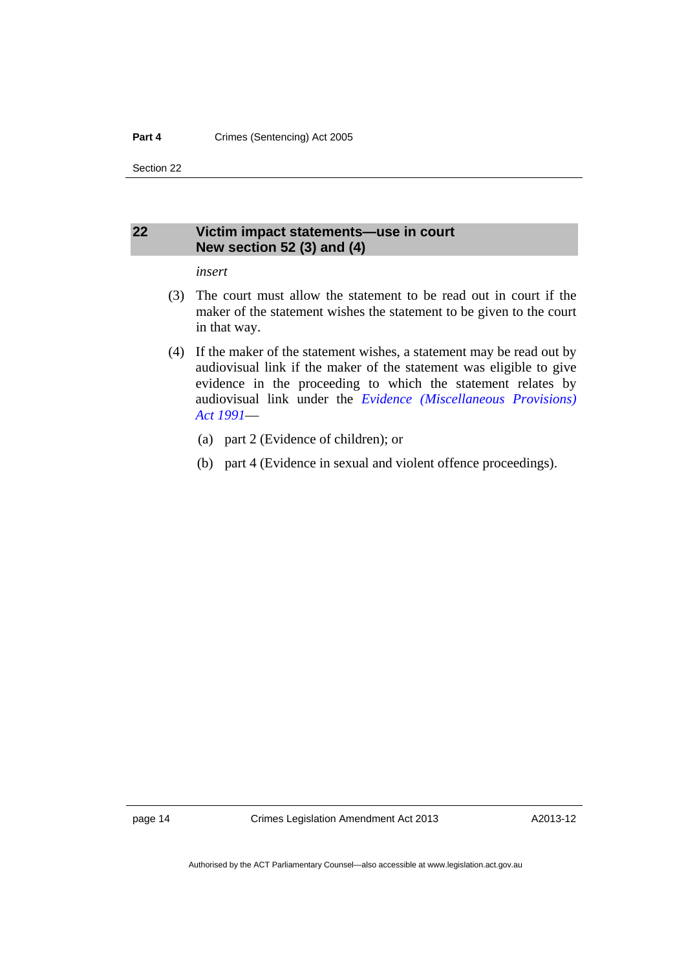Section 22

### <span id="page-17-0"></span>**22 Victim impact statements—use in court New section 52 (3) and (4)**

#### *insert*

- (3) The court must allow the statement to be read out in court if the maker of the statement wishes the statement to be given to the court in that way.
- (4) If the maker of the statement wishes, a statement may be read out by audiovisual link if the maker of the statement was eligible to give evidence in the proceeding to which the statement relates by audiovisual link under the *[Evidence \(Miscellaneous Provisions\)](http://www.legislation.act.gov.au/a/1991-34)  [Act 1991](http://www.legislation.act.gov.au/a/1991-34)*—
	- (a) part 2 (Evidence of children); or
	- (b) part 4 (Evidence in sexual and violent offence proceedings).

page 14 Crimes Legislation Amendment Act 2013

A2013-12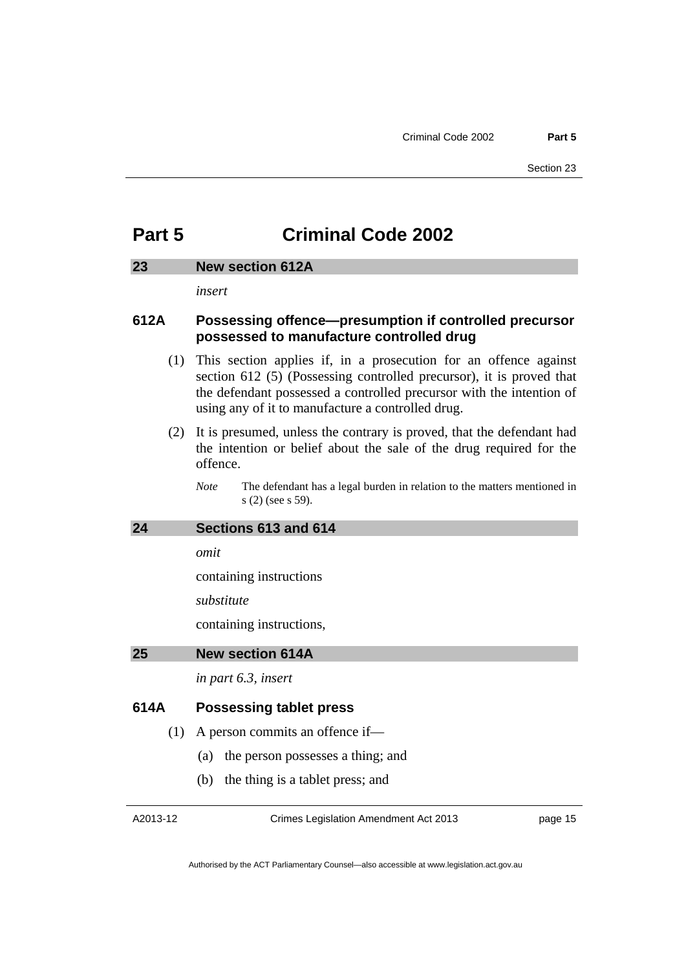# <span id="page-18-0"></span>**Part 5 Criminal Code 2002**

#### <span id="page-18-1"></span>**23 New section 612A**

*insert* 

### **612A Possessing offence—presumption if controlled precursor possessed to manufacture controlled drug**

- (1) This section applies if, in a prosecution for an offence against section 612 (5) (Possessing controlled precursor), it is proved that the defendant possessed a controlled precursor with the intention of using any of it to manufacture a controlled drug.
- (2) It is presumed, unless the contrary is proved, that the defendant had the intention or belief about the sale of the drug required for the offence.

*Note* The defendant has a legal burden in relation to the matters mentioned in s (2) (see s 59).

#### <span id="page-18-2"></span>**24 Sections 613 and 614**

*omit* 

containing instructions

*substitute* 

containing instructions,

#### <span id="page-18-3"></span>**25 New section 614A**

*in part 6.3, insert* 

### **614A Possessing tablet press**

(1) A person commits an offence if—

- (a) the person possesses a thing; and
- (b) the thing is a tablet press; and

A2013-12

Crimes Legislation Amendment Act 2013

page 15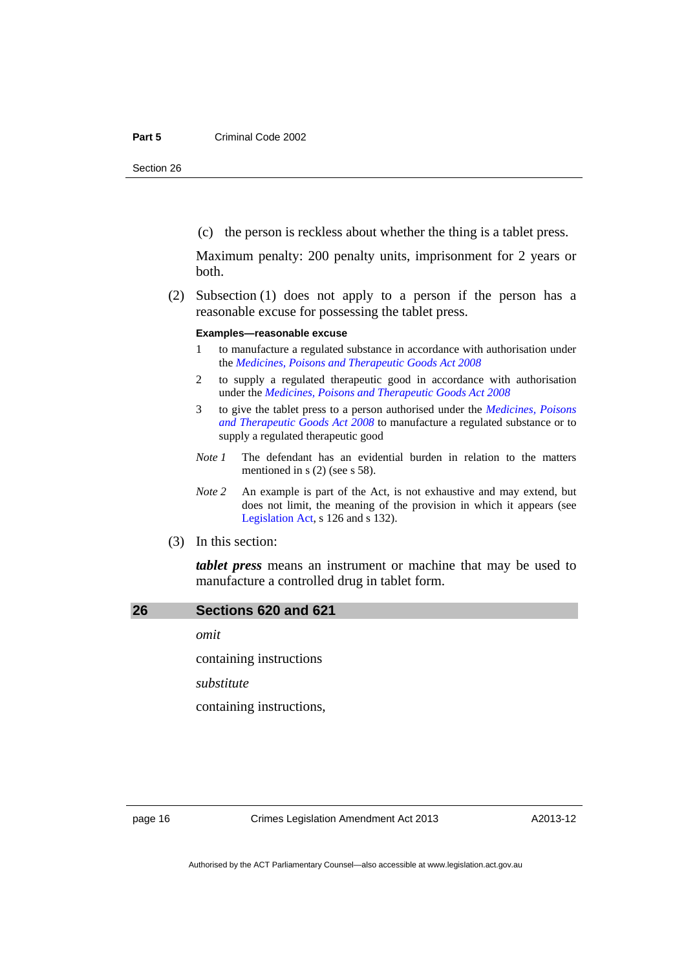Section 26

(c) the person is reckless about whether the thing is a tablet press.

Maximum penalty: 200 penalty units, imprisonment for 2 years or both.

 (2) Subsection (1) does not apply to a person if the person has a reasonable excuse for possessing the tablet press.

#### **Examples—reasonable excuse**

- 1 to manufacture a regulated substance in accordance with authorisation under the *[Medicines, Poisons and Therapeutic Goods Act 2008](http://www.legislation.act.gov.au/a/2008-26)*
- 2 to supply a regulated therapeutic good in accordance with authorisation under the *[Medicines, Poisons and Therapeutic Goods Act 2008](http://www.legislation.act.gov.au/a/2008-26)*
- 3 to give the tablet press to a person authorised under the *[Medicines, Poisons](http://www.legislation.act.gov.au/a/2008-26)  [and Therapeutic Goods Act 2008](http://www.legislation.act.gov.au/a/2008-26)* to manufacture a regulated substance or to supply a regulated therapeutic good
- *Note 1* The defendant has an evidential burden in relation to the matters mentioned in s (2) (see s 58).
- *Note 2* An example is part of the Act, is not exhaustive and may extend, but does not limit, the meaning of the provision in which it appears (see [Legislation Act,](http://www.legislation.act.gov.au/a/2001-14) s 126 and s 132).
- (3) In this section:

*tablet press* means an instrument or machine that may be used to manufacture a controlled drug in tablet form.

#### <span id="page-19-0"></span>**26 Sections 620 and 621**

*omit* 

containing instructions

*substitute* 

containing instructions,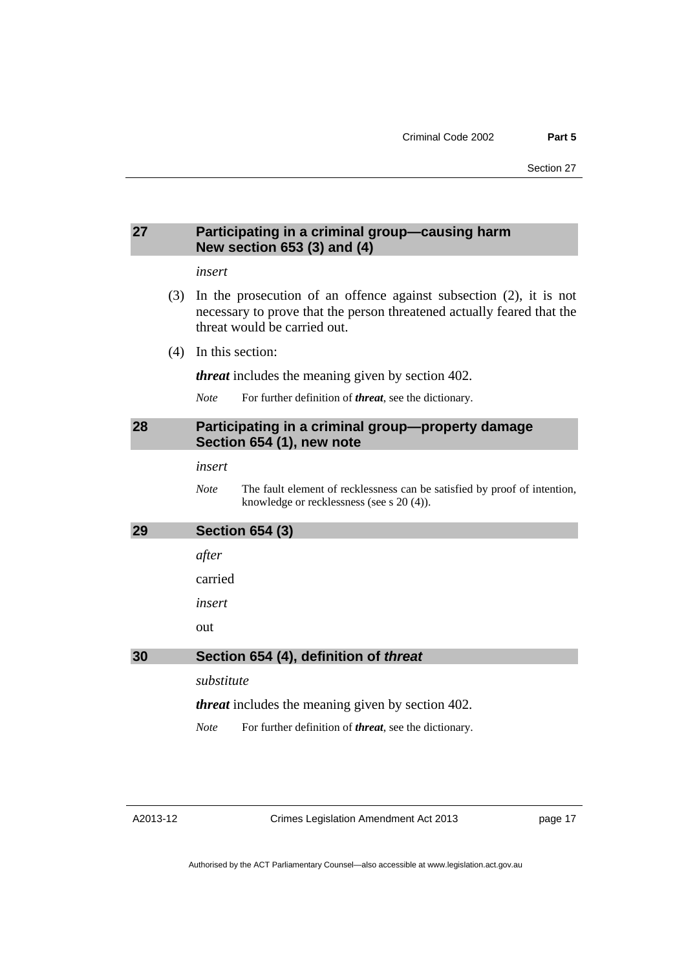### <span id="page-20-0"></span>**27 Participating in a criminal group—causing harm New section 653 (3) and (4)**

#### *insert*

- (3) In the prosecution of an offence against subsection (2), it is not necessary to prove that the person threatened actually feared that the threat would be carried out.
- (4) In this section:

*threat* includes the meaning given by section 402.

*Note* For further definition of *threat*, see the dictionary.

### <span id="page-20-1"></span>**28 Participating in a criminal group—property damage Section 654 (1), new note**

*insert* 

*Note* The fault element of recklessness can be satisfied by proof of intention, knowledge or recklessness (see s 20 (4)).

# <span id="page-20-3"></span><span id="page-20-2"></span>**29 Section 654 (3)**  *after*  carried *insert*  out **30 Section 654 (4), definition of** *threat substitute threat* includes the meaning given by section 402.

*Note* For further definition of *threat*, see the dictionary.

A2013-12

Crimes Legislation Amendment Act 2013

page 17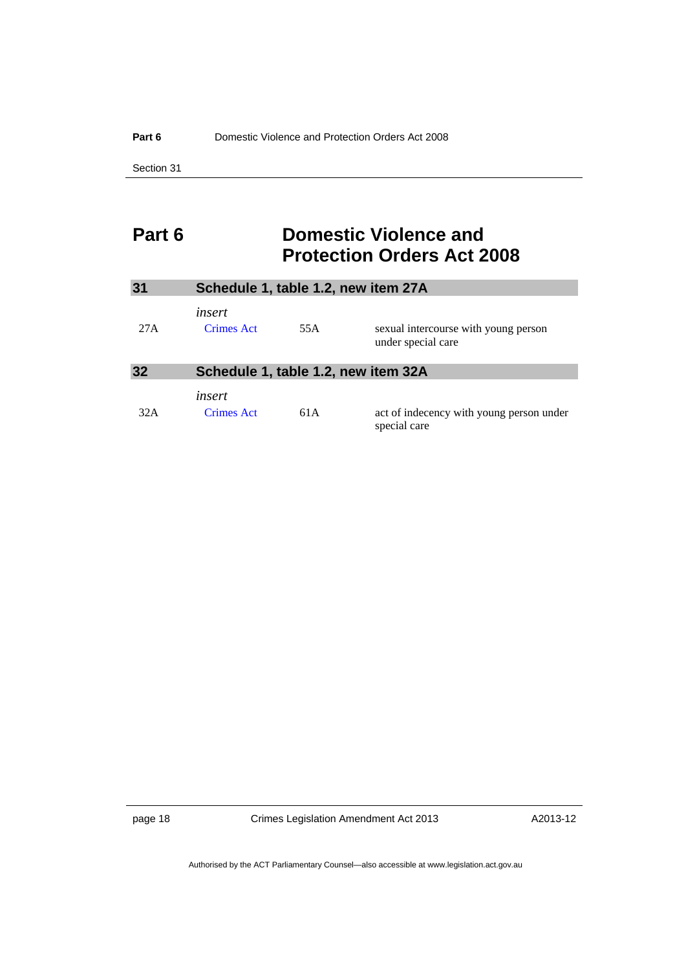Section 31

# <span id="page-21-0"></span>**Part 6 Domestic Violence and Protection Orders Act 2008**

<span id="page-21-2"></span><span id="page-21-1"></span>

| 31   | Schedule 1, table 1.2, new item 27A |     |                                                            |
|------|-------------------------------------|-----|------------------------------------------------------------|
| 27 A | insert<br><b>Crimes Act</b>         | 55A | sexual intercourse with young person<br>under special care |
| 32   | Schedule 1, table 1.2, new item 32A |     |                                                            |
| 32A  | insert<br>Crimes Act                | 61A | act of indecency with young person under<br>special care   |

page 18 Crimes Legislation Amendment Act 2013

A2013-12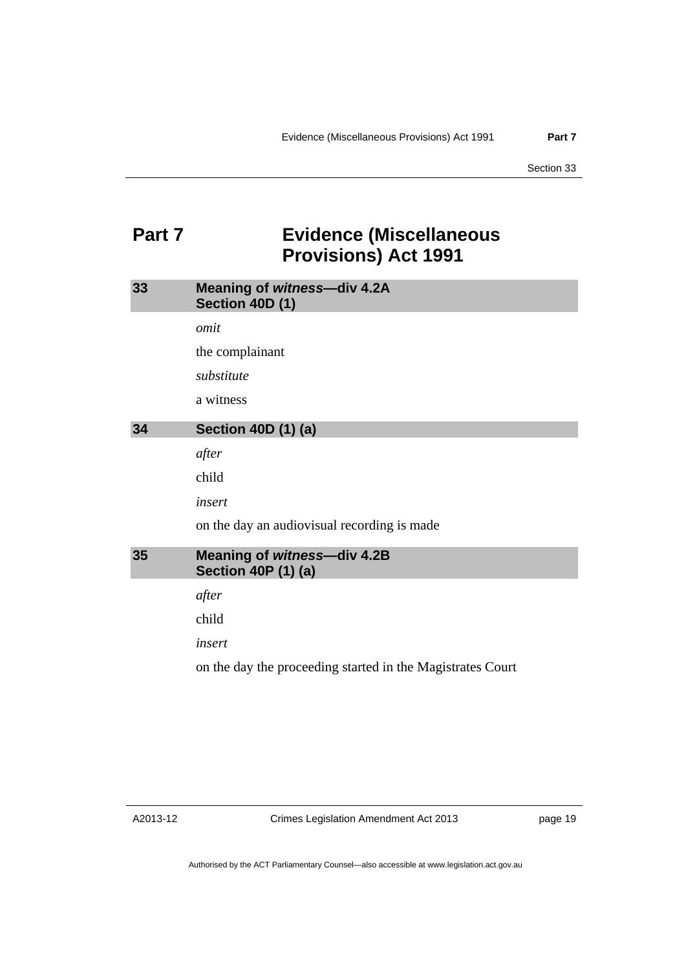# <span id="page-22-0"></span>**Part 7 Evidence (Miscellaneous Provisions) Act 1991**

<span id="page-22-2"></span><span id="page-22-1"></span>

| 33 | Meaning of witness-div 4.2A<br>Section 40D (1)                   |
|----|------------------------------------------------------------------|
|    | omit                                                             |
|    | the complainant                                                  |
|    | substitute                                                       |
|    | a witness                                                        |
| 34 | <b>Section 40D (1) (a)</b>                                       |
|    | after                                                            |
|    | child                                                            |
|    | insert                                                           |
|    | on the day an audiovisual recording is made                      |
| 35 | <b>Meaning of witness-div 4.2B</b><br><b>Section 40P (1) (a)</b> |
|    | after                                                            |
|    | child                                                            |
|    | insert                                                           |
|    | on the day the proceeding started in the Magistrates Court       |

<span id="page-22-3"></span>A2013-12

Crimes Legislation Amendment Act 2013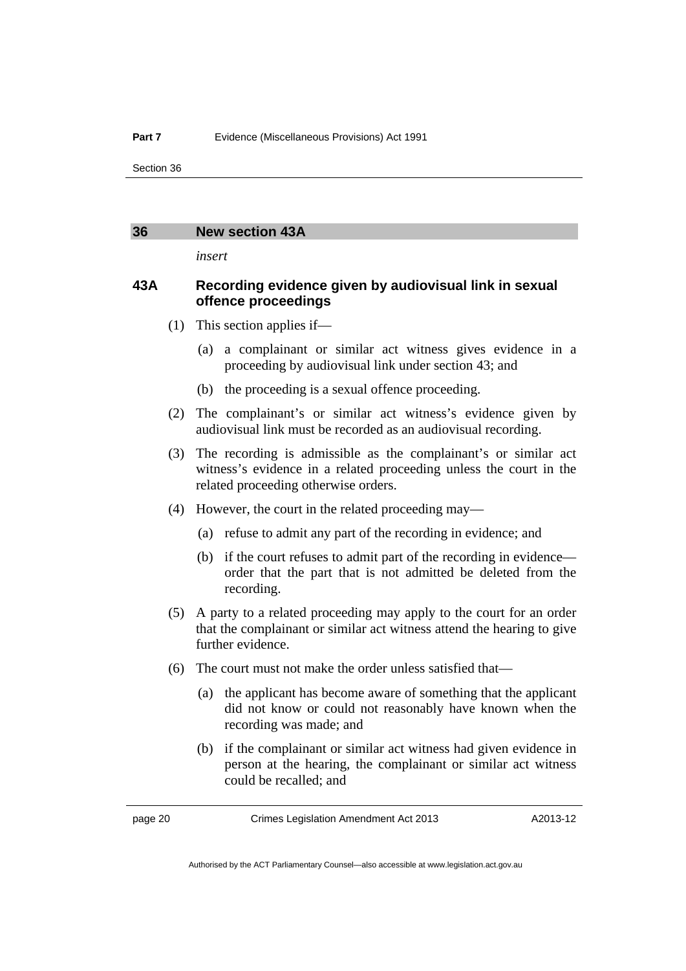Section 36

#### <span id="page-23-0"></span>**36 New section 43A**

*insert* 

### **43A Recording evidence given by audiovisual link in sexual offence proceedings**

- (1) This section applies if—
	- (a) a complainant or similar act witness gives evidence in a proceeding by audiovisual link under section 43; and
	- (b) the proceeding is a sexual offence proceeding.
- (2) The complainant's or similar act witness's evidence given by audiovisual link must be recorded as an audiovisual recording.
- (3) The recording is admissible as the complainant's or similar act witness's evidence in a related proceeding unless the court in the related proceeding otherwise orders.
- (4) However, the court in the related proceeding may—
	- (a) refuse to admit any part of the recording in evidence; and
	- (b) if the court refuses to admit part of the recording in evidence order that the part that is not admitted be deleted from the recording.
- (5) A party to a related proceeding may apply to the court for an order that the complainant or similar act witness attend the hearing to give further evidence.
- (6) The court must not make the order unless satisfied that—
	- (a) the applicant has become aware of something that the applicant did not know or could not reasonably have known when the recording was made; and
	- (b) if the complainant or similar act witness had given evidence in person at the hearing, the complainant or similar act witness could be recalled; and

page 20 Crimes Legislation Amendment Act 2013

A2013-12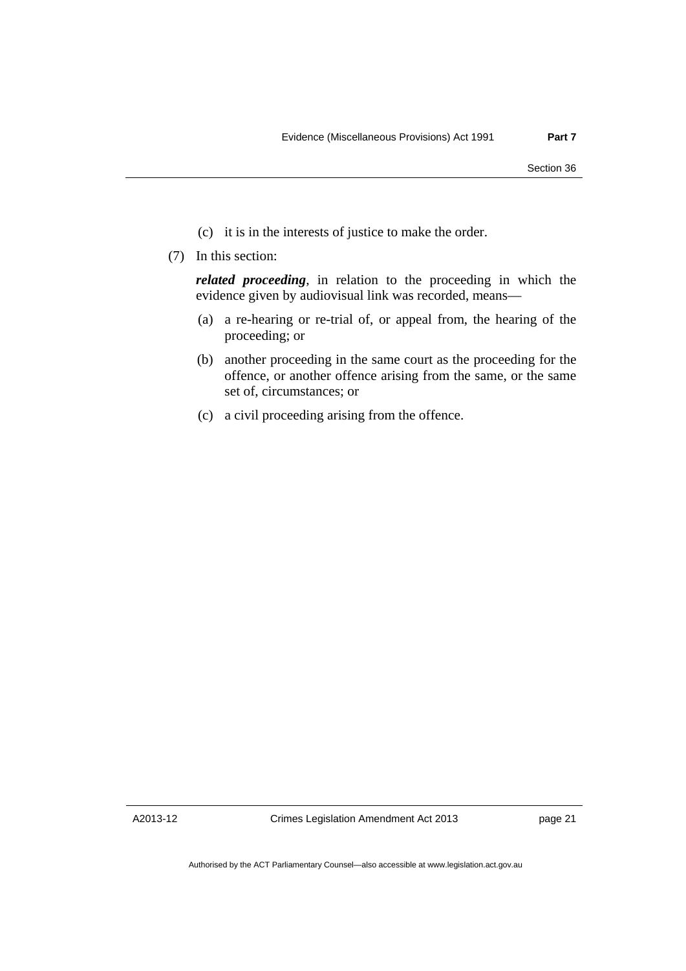- (c) it is in the interests of justice to make the order.
- (7) In this section:

*related proceeding*, in relation to the proceeding in which the evidence given by audiovisual link was recorded, means—

- (a) a re-hearing or re-trial of, or appeal from, the hearing of the proceeding; or
- (b) another proceeding in the same court as the proceeding for the offence, or another offence arising from the same, or the same set of, circumstances; or
- (c) a civil proceeding arising from the offence.

Crimes Legislation Amendment Act 2013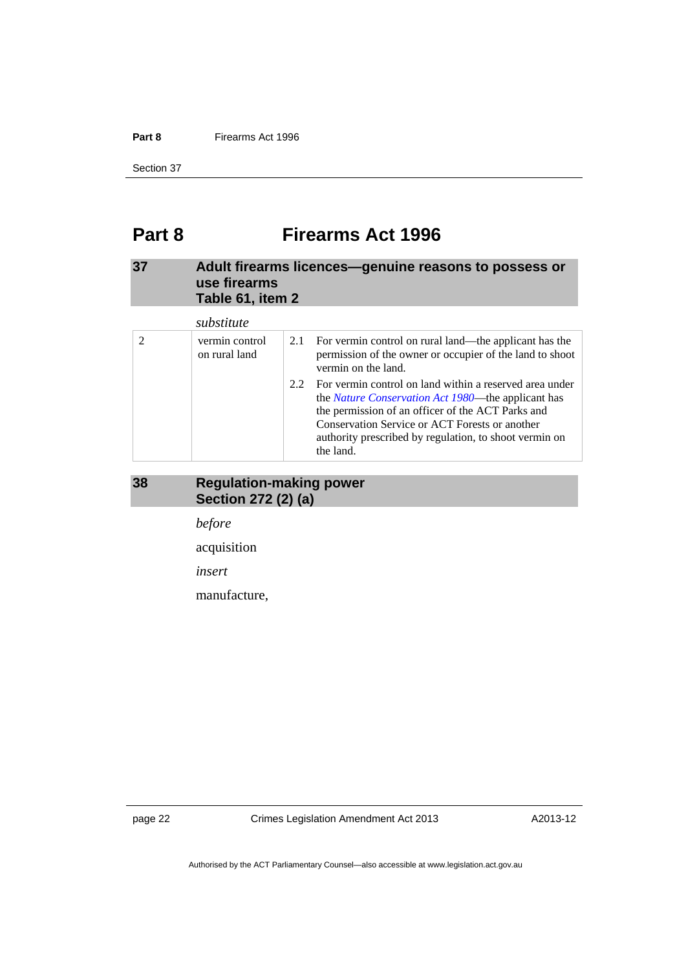#### **Part 8** Firearms Act 1996

Section 37

# <span id="page-25-0"></span>**Part 8 Firearms Act 1996**

### <span id="page-25-1"></span>**37 Adult firearms licences—genuine reasons to possess or use firearms Table 61, item 2**

|  | substitute                      |     |                                                                                                                                                                                                                                                                                                     |
|--|---------------------------------|-----|-----------------------------------------------------------------------------------------------------------------------------------------------------------------------------------------------------------------------------------------------------------------------------------------------------|
|  | vermin control<br>on rural land | 2.1 | For vermin control on rural land—the applicant has the<br>permission of the owner or occupier of the land to shoot<br>vermin on the land.                                                                                                                                                           |
|  |                                 | 2.2 | For vermin control on land within a reserved area under<br>the <i>Nature Conservation Act 1980</i> —the applicant has<br>the permission of an officer of the ACT Parks and<br>Conservation Service or ACT Forests or another<br>authority prescribed by regulation, to shoot vermin on<br>the land. |

### <span id="page-25-2"></span>**38 Regulation-making power Section 272 (2) (a)**

*before* 

acquisition

*insert* 

manufacture,

page 22 Crimes Legislation Amendment Act 2013

A2013-12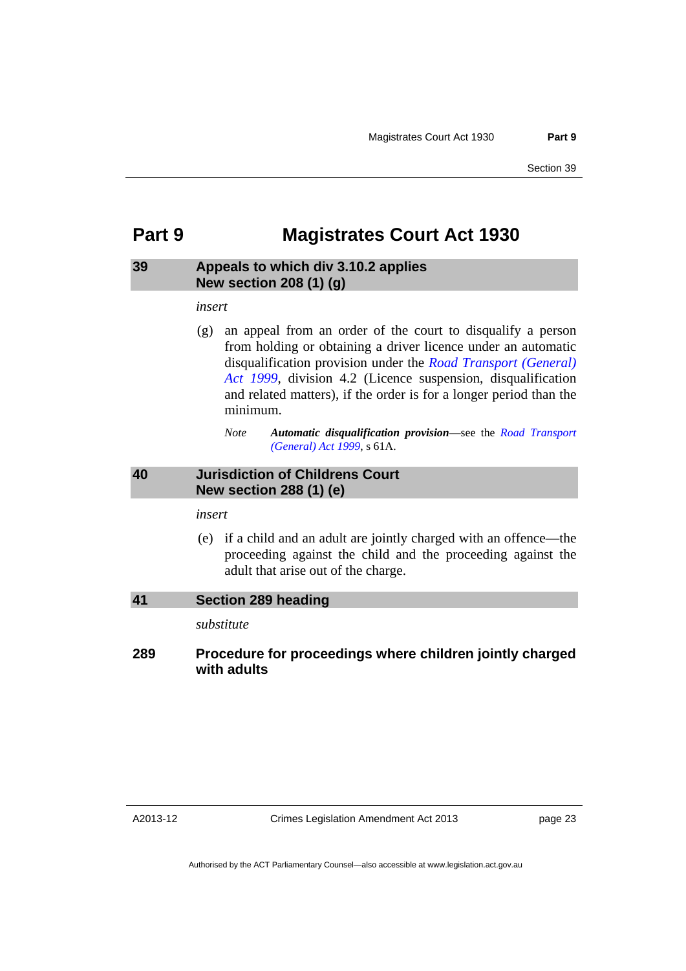## <span id="page-26-0"></span>**Part 9 Magistrates Court Act 1930**

### <span id="page-26-1"></span>**39 Appeals to which div 3.10.2 applies New section 208 (1) (g)**

*insert* 

 (g) an appeal from an order of the court to disqualify a person from holding or obtaining a driver licence under an automatic disqualification provision under the *[Road Transport \(General\)](http://www.legislation.act.gov.au/a/1999-77)  [Act 1999](http://www.legislation.act.gov.au/a/1999-77)*, division 4.2 (Licence suspension, disqualification and related matters), if the order is for a longer period than the minimum.

### <span id="page-26-2"></span>**40 Jurisdiction of Childrens Court New section 288 (1) (e)**

*insert* 

 (e) if a child and an adult are jointly charged with an offence—the proceeding against the child and the proceeding against the adult that arise out of the charge.

<span id="page-26-3"></span>

| 41  | Section 289 heading                                                     |  |  |
|-----|-------------------------------------------------------------------------|--|--|
|     | substitute                                                              |  |  |
| 289 | Procedure for proceedings where children jointly charged<br>with adults |  |  |

A2013-12

Crimes Legislation Amendment Act 2013

*Note Automatic disqualification provision*—see the *[Road Transport](http://www.legislation.act.gov.au/a/1999-77)  [\(General\) Act 1999](http://www.legislation.act.gov.au/a/1999-77)*, s 61A.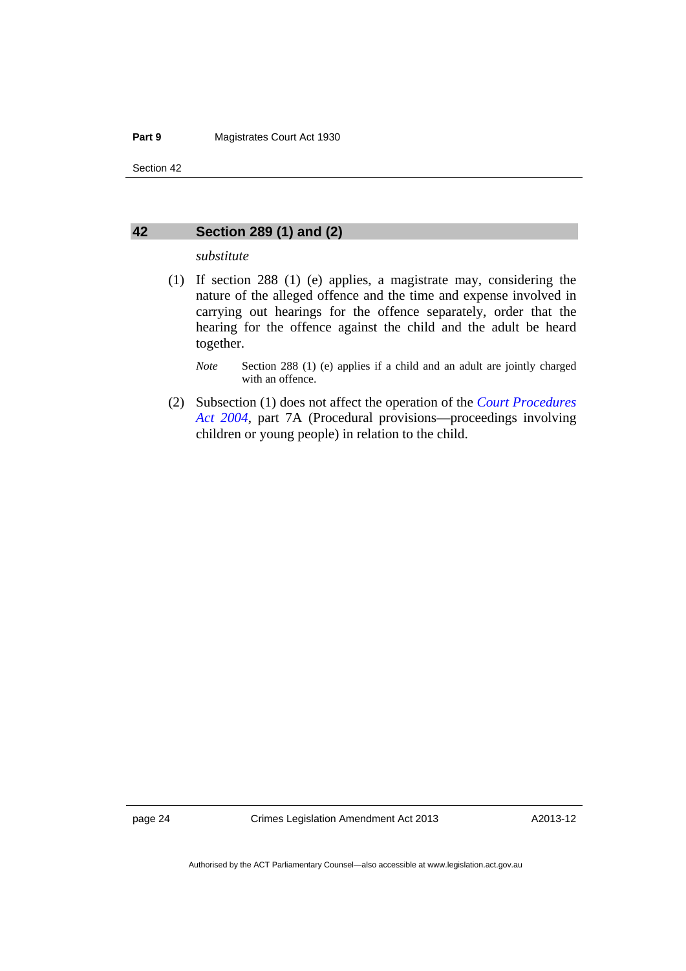Section 42

#### <span id="page-27-0"></span>**42 Section 289 (1) and (2)**

#### *substitute*

 (1) If section 288 (1) (e) applies, a magistrate may, considering the nature of the alleged offence and the time and expense involved in carrying out hearings for the offence separately, order that the hearing for the offence against the child and the adult be heard together.

*Note* Section 288 (1) (e) applies if a child and an adult are jointly charged with an offence.

 (2) Subsection (1) does not affect the operation of the *[Court Procedures](http://www.legislation.act.gov.au/a/2004-59)  [Act 2004](http://www.legislation.act.gov.au/a/2004-59)*, part 7A (Procedural provisions—proceedings involving children or young people) in relation to the child.

page 24 Crimes Legislation Amendment Act 2013

A2013-12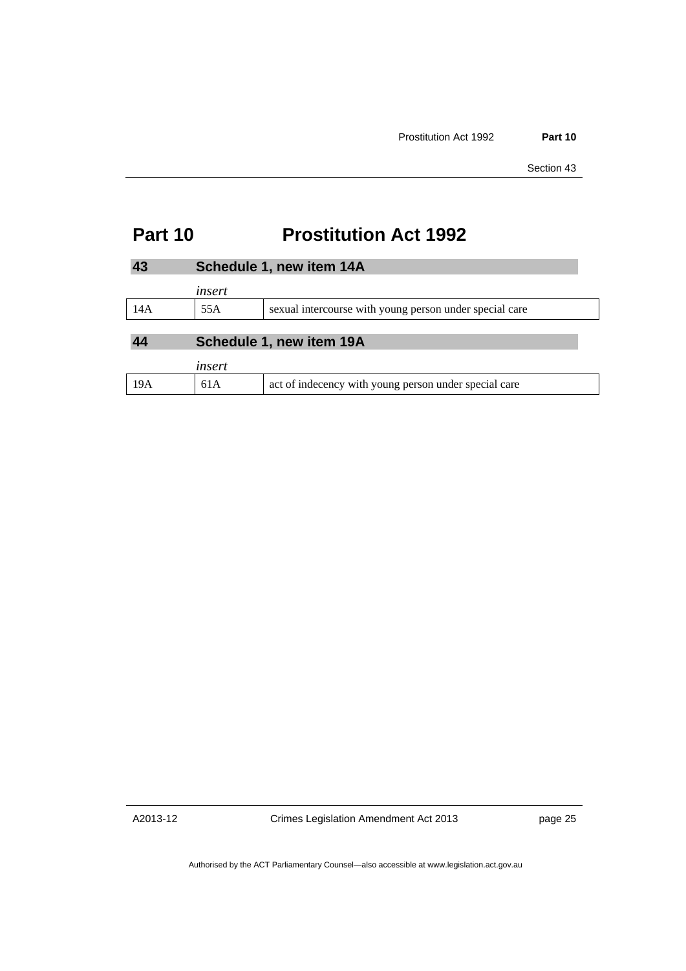# **Part 10 Prostitution Act 1992**

<span id="page-28-2"></span><span id="page-28-1"></span><span id="page-28-0"></span>

|                                | Schedule 1, new item 14A |                                                         |  |  |
|--------------------------------|--------------------------|---------------------------------------------------------|--|--|
|                                | insert                   |                                                         |  |  |
| 14A                            | 55A                      | sexual intercourse with young person under special care |  |  |
| Schedule 1, new item 19A<br>44 |                          |                                                         |  |  |
|                                | insert                   |                                                         |  |  |
| 19A                            | 61A                      | act of indecency with young person under special care   |  |  |

A2013-12

Crimes Legislation Amendment Act 2013

page 25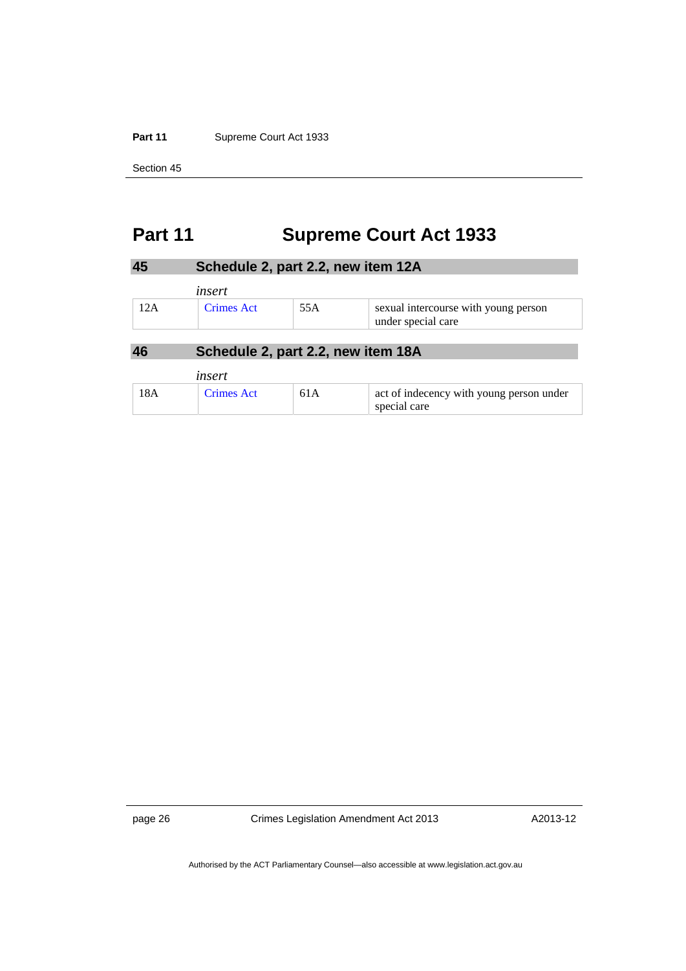#### Part 11 **Supreme Court Act 1933**

Section 45

# <span id="page-29-0"></span>**Part 11 Supreme Court Act 1933**

<span id="page-29-1"></span>

| 45  |                                    | Schedule 2, part 2.2, new item 12A |                                                            |  |  |
|-----|------------------------------------|------------------------------------|------------------------------------------------------------|--|--|
|     | insert                             |                                    |                                                            |  |  |
| 12A | <b>Crimes Act</b>                  | 55A                                | sexual intercourse with young person<br>under special care |  |  |
| 46  | Schedule 2, part 2.2, new item 18A |                                    |                                                            |  |  |

<span id="page-29-2"></span>

|     | insert            |     |                                                          |
|-----|-------------------|-----|----------------------------------------------------------|
| 18A | <b>Crimes Act</b> | 61A | act of indecency with young person under<br>special care |

page 26 Crimes Legislation Amendment Act 2013

A2013-12